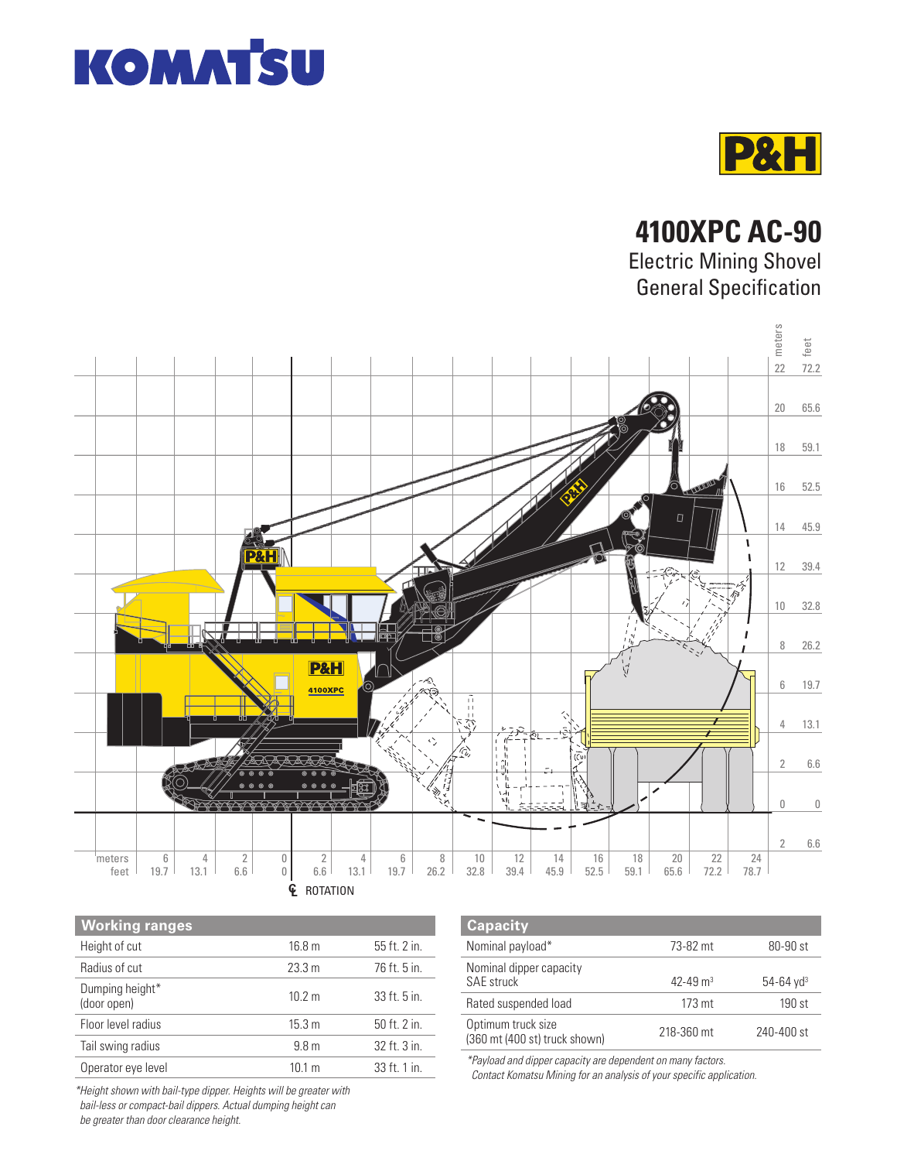



**4100XPC AC-90**

Electric Mining Shovel General Specification



| <b>Working ranges</b>          |                   |              |
|--------------------------------|-------------------|--------------|
| Height of cut                  | 16.8 <sub>m</sub> | 55 ft. 2 in. |
| Radius of cut                  | 23.3 m            | 76 ft. 5 in. |
| Dumping height*<br>(door open) | 10.2 m            | 33 ft. 5 in. |
| Floor level radius             | 15.3 m            | 50 ft. 2 in. |
| Tail swing radius              | 9.8 <sub>m</sub>  | 32 ft. 3 in. |
| Operator eye level             | $10.1 \text{ m}$  | 33 ft. 1 in. |

| <b>Capacity</b>                                     |                          |                           |
|-----------------------------------------------------|--------------------------|---------------------------|
| Nominal payload*                                    | 73-82 mt                 | 80-90 st                  |
| Nominal dipper capacity<br><b>SAE</b> struck        | $42 - 49$ m <sup>3</sup> | $54 - 64$ yd <sup>3</sup> |
| Rated suspended load                                | 173 mt                   | $190$ st                  |
| Optimum truck size<br>(360 mt (400 st) truck shown) | 218-360 mt               | 240-400 st                |

\*Payload and dipper capacity are dependent on many factors. Contact Komatsu Mining for an analysis of your specific application.

\*Height shown with bail-type dipper. Heights will be greater with bail-less or compact-bail dippers. Actual dumping height can

be greater than door clearance height.